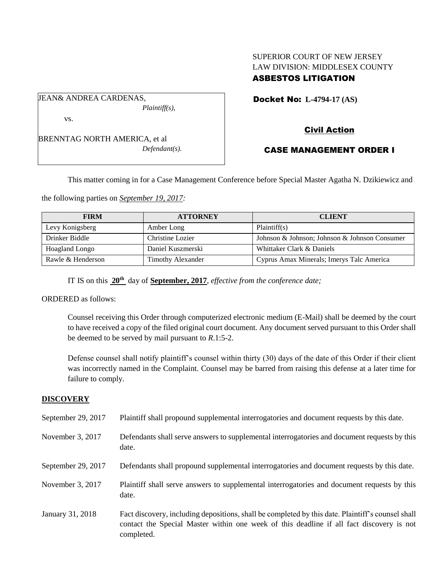# SUPERIOR COURT OF NEW JERSEY LAW DIVISION: MIDDLESEX COUNTY ASBESTOS LITIGATION

Docket No: **L-4794-17 (AS)** 

vs.

JEAN& ANDREA CARDENAS,

BRENNTAG NORTH AMERICA, et al *Defendant(s).*

*Plaintiff(s),*

# Civil Action

# CASE MANAGEMENT ORDER I

This matter coming in for a Case Management Conference before Special Master Agatha N. Dzikiewicz and

the following parties on *September 19, 2017:*

| <b>FIRM</b>       | <b>ATTORNEY</b>          | <b>CLIENT</b>                                 |
|-------------------|--------------------------|-----------------------------------------------|
| Levy Konigsberg   | Amber Long               | Plaintiff(s)                                  |
| Drinker Biddle    | Christine Lozier         | Johnson & Johnson; Johnson & Johnson Consumer |
| Hoagland Longo    | Daniel Kuszmerski        | Whittaker Clark & Daniels                     |
| Rawle & Henderson | <b>Timothy Alexander</b> | Cyprus Amax Minerals; Imerys Talc America     |

IT IS on this **20th** day of **September, 2017**, *effective from the conference date;*

ORDERED as follows:

Counsel receiving this Order through computerized electronic medium (E-Mail) shall be deemed by the court to have received a copy of the filed original court document. Any document served pursuant to this Order shall be deemed to be served by mail pursuant to *R*.1:5-2.

Defense counsel shall notify plaintiff's counsel within thirty (30) days of the date of this Order if their client was incorrectly named in the Complaint. Counsel may be barred from raising this defense at a later time for failure to comply.

## **DISCOVERY**

| September 29, 2017 | Plaintiff shall propound supplemental interrogatories and document requests by this date.                                                                                                                   |
|--------------------|-------------------------------------------------------------------------------------------------------------------------------------------------------------------------------------------------------------|
| November 3, 2017   | Defendants shall serve answers to supplemental interrogatories and document requests by this<br>date.                                                                                                       |
| September 29, 2017 | Defendants shall propound supplemental interrogatories and document requests by this date.                                                                                                                  |
| November 3, 2017   | Plaintiff shall serve answers to supplemental interrogatories and document requests by this<br>date.                                                                                                        |
| January 31, 2018   | Fact discovery, including depositions, shall be completed by this date. Plaintiff's counsel shall<br>contact the Special Master within one week of this deadline if all fact discovery is not<br>completed. |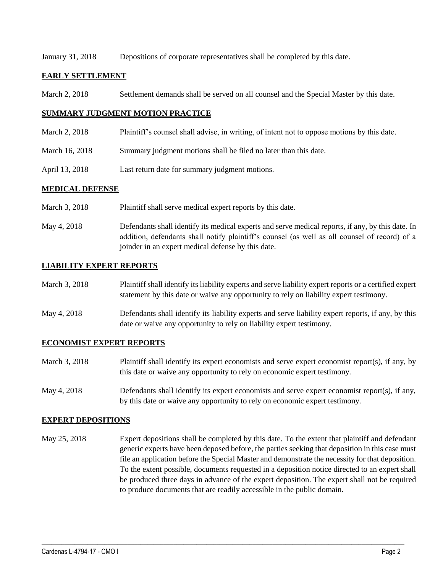January 31, 2018 Depositions of corporate representatives shall be completed by this date.

### **EARLY SETTLEMENT**

March 2, 2018 Settlement demands shall be served on all counsel and the Special Master by this date.

### **SUMMARY JUDGMENT MOTION PRACTICE**

- March 2, 2018 Plaintiff's counsel shall advise, in writing, of intent not to oppose motions by this date.
- March 16, 2018 Summary judgment motions shall be filed no later than this date.
- April 13, 2018 Last return date for summary judgment motions.

### **MEDICAL DEFENSE**

- March 3, 2018 Plaint if shall serve medical expert reports by this date.
- May 4, 2018 Defendants shall identify its medical experts and serve medical reports, if any, by this date. In addition, defendants shall notify plaintiff's counsel (as well as all counsel of record) of a joinder in an expert medical defense by this date.

### **LIABILITY EXPERT REPORTS**

| March 3, 2018 | Plaintiff shall identify its liability experts and serve liability expert reports or a certified expert<br>statement by this date or waive any opportunity to rely on liability expert testimony. |
|---------------|---------------------------------------------------------------------------------------------------------------------------------------------------------------------------------------------------|
| May 4, 2018   | Defendants shall identify its liability experts and serve liability expert reports, if any, by this<br>date or waive any opportunity to rely on liability expert testimony.                       |

#### **ECONOMIST EXPERT REPORTS**

- March 3, 2018 Plaintiff shall identify its expert economists and serve expert economist report(s), if any, by this date or waive any opportunity to rely on economic expert testimony.
- May 4, 2018 Defendants shall identify its expert economists and serve expert economist report(s), if any, by this date or waive any opportunity to rely on economic expert testimony.

#### **EXPERT DEPOSITIONS**

May 25, 2018 Expert depositions shall be completed by this date. To the extent that plaintiff and defendant generic experts have been deposed before, the parties seeking that deposition in this case must file an application before the Special Master and demonstrate the necessity for that deposition. To the extent possible, documents requested in a deposition notice directed to an expert shall be produced three days in advance of the expert deposition. The expert shall not be required to produce documents that are readily accessible in the public domain.

 $\_$  ,  $\_$  ,  $\_$  ,  $\_$  ,  $\_$  ,  $\_$  ,  $\_$  ,  $\_$  ,  $\_$  ,  $\_$  ,  $\_$  ,  $\_$  ,  $\_$  ,  $\_$  ,  $\_$  ,  $\_$  ,  $\_$  ,  $\_$  ,  $\_$  ,  $\_$  ,  $\_$  ,  $\_$  ,  $\_$  ,  $\_$  ,  $\_$  ,  $\_$  ,  $\_$  ,  $\_$  ,  $\_$  ,  $\_$  ,  $\_$  ,  $\_$  ,  $\_$  ,  $\_$  ,  $\_$  ,  $\_$  ,  $\_$  ,